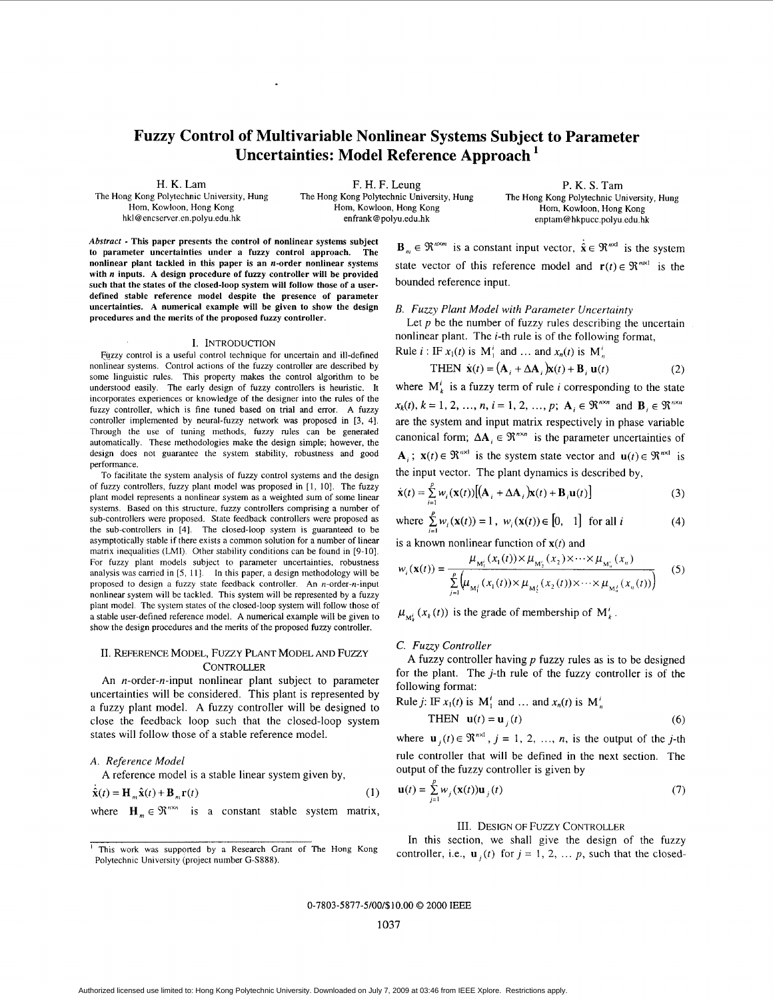# **Fuzzy Control of Multivariable Nonlinear Systems Subject to Parameter Uncertainties: Model Reference Approach**

H. K. Lam

The Hong Kong Polytechnic University, Hung Horn, Kowloon, Hong Kong

F. H. F. Leung The Hong Kong Polytechnic University, Hung Hom, Kowloon, Hong Kong hkl **@encserver.en.polyu.edu.hk** enfrank@polyu.edu.hk **enptam@hkpucc.polyu.edu.hk** 

P. K. **S.** Tam The Hong Kong Polytechnic University, Hung Hom, Kowloon, Hong Kong

*Abstract* - **This paper presents the control of nonlinear systems subject**  to parameter uncertainties under a fuzzy control approach. **nonlinear plant tackled in this paper is an n-order nonlinear systems with** *n* **inputs. A design procedure of** fuzzy **controller will be provided such that the states of the closed-loop system will** follow **those** of **a userdefined stable reference model despite the presence** of **parameter uncertainties. A numerical example will be given to show the design procedures and the merits** of **the proposed fuzzy controller.** 

#### I. INTRODUCTION

Fuzzy control is a useful control technique for uncertain and ill-defined nonlinear systems. Control actions of the fuzzy controller are described by some linguistic rules. This property makes the control algorithm to be understood easily. The early design of fuzzy controllers is heuristic. It incorporates experiences or knowledge of the designer into the rules of the fuzzy controller, which is fine tuned based on trial and error. A fuzzy controller implemented by neural-fuzzy network was proposed in **[3, 41.**  Through the use of tuning methods, fuzzy rules can be generated automatically. These methodologies make **the** design simple; however, the design does not guarantee the system stability, robustness and good performance.

To facilitate the system analysis of fuzzy control systems and the design of fuzzy controllers, fuzzy plant model was proposed in 11, IO]. The fuzzy plant model represents a nonlinear system as a weighted sum of some linear systems. Based on this structure, fuzzy controllers comprising a number of sub-controllers were proposed. State feedback controllers were proposed **as**  the sub-controllers in **141.** The closed-loop system is guaranteed to be asymptotically stable if there exists a common solution for a number of linear matrix inequalities (LMI). Other stability conditions can be found in [9-IO]. For fuzzy plant models subject to parameter uncertainties, robustness analysis was carried in [5, 11]. In this paper, a design methodology will be proposed to design a fuzzy state feedback controller. An n-order-n-input nonlinear system will be tackled. This system will be represented by a fuzzy plant model. The system states of the closed-loop system will follow those of a stable user-defined reference model. A numerical example will be given to show the design procedures and the merits of the proposed fuzzy controller.

# 11. REFERENCE MODEL, FUZZY PLANT MODEL AND FUZZY **CONTROLLER**

**An** n-order-n-input nonlinear plant subject to parameter uncertainties will be considered. This plant is represented by a fuzzy plant model. **A** fuzzy controller will be designed to close the feedback loop such that the closed-loop system states will follow those of a stable reference model.

#### *A. Reference Model*

**A** reference model is a stable linear system given by,

$$
\hat{\mathbf{x}}(t) = \mathbf{H}_m \hat{\mathbf{x}}(t) + \mathbf{B}_m \mathbf{r}(t)
$$
\nwhere  $\mathbf{H}_m \in \mathbb{R}^{n \times n}$  is a constant stable system matrix,

 $\mathbf{B}_m \in \mathbb{R}^{n \times m}$  is a constant input vector,  $\hat{\mathbf{x}} \in \mathbb{R}^{n \times 1}$  is the system state vector of this reference model and  $\mathbf{r}(t) \in \mathbb{R}^{m \times 1}$  is the bounded reference input.

#### *B. Fuuy Plant Model with Parameter Uncertainty*

nonlinear plant. The  $i$ -th rule is of the following format, Rule *i* : IF  $x_1(t)$  is M<sup>i</sup>, and ... and  $x_n(t)$  is M<sup>i</sup><sub>n</sub> Let  $p$  be the number of fuzzy rules describing the uncertain

THEN 
$$
\dot{\mathbf{x}}(t) = (\mathbf{A}_i + \Delta \mathbf{A}_i)\mathbf{x}(t) + \mathbf{B}_i \mathbf{u}(t)
$$
 (2)

where  $M_k^i$  is a fuzzy term of rule *i* corresponding to the state  $x_k(t)$ ,  $k = 1, 2, ..., n$ ,  $i = 1, 2, ..., p$ ;  $\mathbf{A}_i \in \mathbb{R}^{n \times n}$  and  $\mathbf{B}_i \in \mathbb{R}^{n \times n}$ are the system and input matrix respectively in phase variable canonical form;  $\Delta A_i \in \mathbb{R}^{n \times n}$  is the parameter uncertainties of **A**<sub>i</sub>;  $\mathbf{x}(t) \in \mathbb{R}^{n \times 1}$  is the system state vector and  $\mathbf{u}(t) \in \mathbb{R}^{n \times 1}$  is the input vector. The plant dynamics is described by,

$$
\dot{\mathbf{x}}(t) = \sum_{i=1}^{p} w_i(\mathbf{x}(t))[(\mathbf{A}_i + \Delta \mathbf{A}_i)\mathbf{x}(t) + \mathbf{B}_i\mathbf{u}(t)]
$$
\n(3)

where 
$$
\sum_{i=1}^{p} w_i(\mathbf{x}(t)) = 1, w_i(\mathbf{x}(t)) \in [0, 1]
$$
 for all  $i$  (4)

is a known nonlinear function of *x(t)* and

$$
w_i(\mathbf{x}(t)) = \frac{\mu_{M'_1}(x_1(t)) \times \mu_{M'_2}(x_2) \times \cdots \times \mu_{M'_n}(x_n)}{\sum_{j=1}^p \left(\mu_{M'_j}(x_1(t)) \times \mu_{M'_2}(x_2(t)) \times \cdots \times \mu_{M'_n}(x_n(t))\right)}
$$
(5)

 $\mu_{M_k}(x_k(t))$  is the grade of membership of M'<sub>k</sub>.

# C. *Fuuy Controller*

**A** fuzzy controller having *p* fuzzy rules as is to be designed for the plant. The  $j$ -th rule of the fuzzy controller is of the following format:

Rule *j*: IF  $x_1(t)$  is  $M_1^i$  and ... and  $x_n(t)$  is  $M_n^i$ 

**THEN** 
$$
\mathbf{u}(t) = \mathbf{u}_j(t)
$$
 (6)

where  $\mathbf{u}_i(t) \in \mathbb{R}^{n \times 1}$ ,  $j = 1, 2, ..., n$ , is the output of the *j*-th rule controller that will be defined in the next section. The output of the fuzzy controller is given by

$$
\mathbf{u}(t) = \sum_{j=1}^{p} w_j(\mathbf{x}(t)) \mathbf{u}_j(t)
$$
 (7)

#### 111. DESIGN OF FUZZY CONTROLLER

In this section, we shall give the design of the fuzzy controller, i.e.,  $\mathbf{u}_i(t)$  for  $j = 1, 2, \dots, p$ , such that the closed-

0-7803-5877-5/00/\$10.00 *0* 2000 IEEE

<sup>&#</sup>x27; This work was supported by a Research Grant of The Hong Kong Polytechnic University (project number G-SSSS).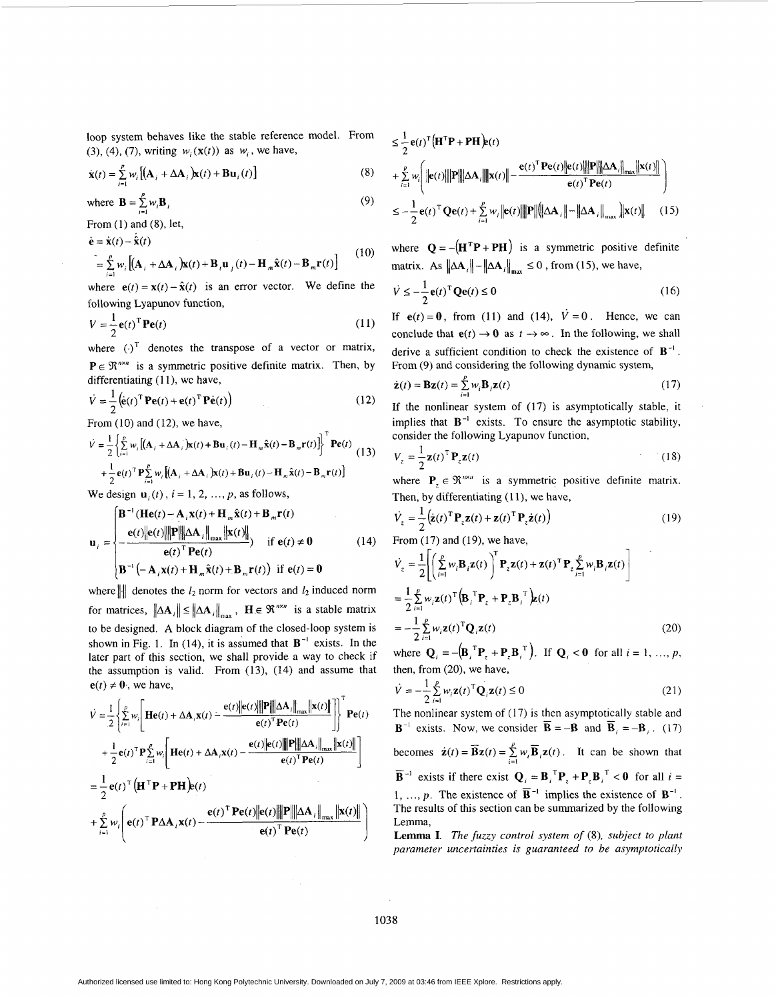loop system behaves like the stable reference model. From (3), (4), (7), writing  $w_i(\mathbf{x}(t))$  as  $w_i$ , we have,

$$
\dot{\mathbf{x}}(t) = \sum_{i=1}^{p} w_i \left[ \left( \mathbf{A}_i + \Delta \mathbf{A}_i \right) \mathbf{x}(t) + \mathbf{B} \mathbf{u}_i(t) \right] \tag{8}
$$

where 
$$
\mathbf{B} = \sum_{i=1}^{p} w_i \mathbf{B}_i
$$
 (9)

From (1) and (8), let,

$$
\dot{\mathbf{e}} = \dot{\mathbf{x}}(t) - \dot{\hat{\mathbf{x}}}(t)
$$
\n
$$
= \sum_{i=1}^{p} w_i \left[ (\mathbf{A}_i + \Delta \mathbf{A}_i) \mathbf{x}(t) + \mathbf{B}_i \mathbf{u}_j(t) - \mathbf{H}_m \hat{\mathbf{x}}(t) - \mathbf{B}_m \mathbf{r}(t) \right]
$$
\n(10)

where  $e(t) = \mathbf{x}(t) - \hat{\mathbf{x}}(t)$  is an error vector. We define the following Lyapunov function,

$$
V = \frac{1}{2} \mathbf{e}(t)^{\mathrm{T}} \mathbf{P} \mathbf{e}(t)
$$
 (11)

where  $(\cdot)^T$  denotes the transpose of a vector or matrix,  $P \in \mathbb{R}^{n \times n}$  is a symmetric positive definite matrix. Then, by

differentiating (11), we have,  
\n
$$
\dot{V} = \frac{1}{2} (\dot{\mathbf{e}}(t)^{\mathrm{T}} \mathbf{P} \mathbf{e}(t) + \mathbf{e}(t)^{\mathrm{T}} \mathbf{P} \dot{\mathbf{e}}(t))
$$
\n(12)

From **(10)** and (12), we have,

$$
\dot{V} = \frac{1}{2} \left\{ \sum_{i=1}^{p} w_i \left[ (\mathbf{A}_i + \Delta \mathbf{A}_i) \mathbf{\hat{x}}(t) + \mathbf{B} \mathbf{u}_i(t) - \mathbf{H}_m \hat{\mathbf{x}}(t) - \mathbf{B}_m \mathbf{r}(t) \right] \right\}^{\mathrm{T}} \mathbf{P} \mathbf{e}(t)
$$
\n
$$
+ \frac{1}{2} \mathbf{e}(t)^{\mathrm{T}} \mathbf{P} \sum_{i=1}^{p} w_i \left[ (\mathbf{A}_i + \Delta \mathbf{A}_i) \mathbf{\hat{x}}(t) + \mathbf{B} \mathbf{u}_i(t) - \mathbf{H}_m \hat{\mathbf{x}}(t) - \mathbf{B}_m \mathbf{r}(t) \right]
$$
\n(13)

We design  $\mathbf{u}_i(t)$ ,  $i = 1, 2, ..., p$ , as follows,

$$
\mathbf{u}_{i} = \begin{cases} \mathbf{B}^{-1}(\mathbf{He}(t) - \mathbf{A}_{i}\mathbf{x}(t) + \mathbf{H}_{m}\hat{\mathbf{x}}(t) + \mathbf{B}_{m}\mathbf{r}(t)) \\ \frac{\mathbf{e}(t)\|\mathbf{e}(t)\| \mathbf{P}\| \Delta \mathbf{A}_{i} \|_{\max} \|\mathbf{x}(t)\|}{\mathbf{e}(t)^{\mathrm{T}} \mathbf{P} \mathbf{e}(t)} & \text{if } \mathbf{e}(t) \neq \mathbf{0} \\ \mathbf{B}^{-1}(-\mathbf{A}_{i}\mathbf{x}(t) + \mathbf{H}_{m}\hat{\mathbf{x}}(t) + \mathbf{B}_{m}\mathbf{r}(t)) & \text{if } \mathbf{e}(t) = \mathbf{0} \end{cases}
$$
(14)

where  $\| \cdot \|$  denotes the  $l_2$  norm for vectors and  $l_2$  induced norm for matrices,  $\|\Delta A_i\| \le \|\Delta A_i\|_{max}$ ,  $H \in \mathbb{R}^{n \times n}$  is a stable matrix to be designed. **A** block diagram of the closed-loop system is shown in Fig. 1. In (14), it is assumed that  $B^{-1}$  exists. In the later part of this section, we shall provide a way to check if the assumption is valid. From  $(13)$ ,  $(14)$  and assume that  $e(t) \neq 0$ , we have,

$$
\dot{V} = \frac{1}{2} \left\{ \sum_{i=1}^{p} w_i \left[ \mathbf{He}(t) + \Delta \mathbf{A}_i \mathbf{x}(t) - \frac{\mathbf{e}(t) \|\mathbf{e}(t)\| \|\mathbf{P}\| \Delta \mathbf{A}_i\|_{\max} \|\mathbf{x}(t)\|}{\mathbf{e}(t)^T \mathbf{P} \mathbf{e}(t)} \right] \right\}^{\mathsf{T}} \mathbf{P} \mathbf{e}(t)
$$
\n
$$
+ \frac{1}{2} \mathbf{e}(t)^{\mathsf{T}} \mathbf{P} \sum_{i=1}^{p} w_i \left[ \mathbf{He}(t) + \Delta \mathbf{A}_i \mathbf{x}(t) - \frac{\mathbf{e}(t) \|\mathbf{e}(t)\| \|\mathbf{P}\| \Delta \mathbf{A}_i\|_{\max} \|\mathbf{x}(t)\|}{\mathbf{e}(t)^T \mathbf{P} \mathbf{e}(t)} \right]
$$
\n
$$
= \frac{1}{2} \mathbf{e}(t)^{\mathsf{T}} \left( \mathbf{H}^{\mathsf{T}} \mathbf{P} + \mathbf{P} \mathbf{H} \right) \mathbf{e}(t)
$$
\n
$$
+ \sum_{i=1}^{p} w_i \left( \mathbf{e}(t)^{\mathsf{T}} \mathbf{P} \Delta \mathbf{A}_i \mathbf{x}(t) - \frac{\mathbf{e}(t)^{\mathsf{T}} \mathbf{P} \mathbf{e}(t) \|\mathbf{e}(t)\| \|\mathbf{P}\| \Delta \mathbf{A}_i\|_{\max} \|\mathbf{x}(t)\|}{\mathbf{e}(t)^{\mathsf{T}} \mathbf{P} \mathbf{e}(t)} \right)
$$

$$
\leq \frac{1}{2} \mathbf{e}(t)^{\mathsf{T}} \Big( \mathbf{H}^{\mathsf{T}} \mathbf{P} + \mathbf{P} \mathbf{H} \Big) \mathbf{e}(t)
$$
\n
$$
+ \sum_{i=1}^{p} w_i \Bigg( \|\mathbf{e}(t)\| \|\mathbf{P}\| \|\Delta \mathbf{A}_i\| \|\mathbf{x}(t)\| - \frac{\mathbf{e}(t)^{\mathsf{T}} \mathbf{P} \mathbf{e}(t) \|\mathbf{P}\| \|\Delta \mathbf{A}_i\|_{\max} \|\mathbf{x}(t)\|}{\mathbf{e}(t)^{\mathsf{T}} \mathbf{P} \mathbf{e}(t)} \Bigg)
$$
\n
$$
\leq -\frac{1}{2} \mathbf{e}(t)^{\mathsf{T}} \mathbf{Q} \mathbf{e}(t) + \sum_{i=1}^{p} w_i \|\mathbf{e}(t)\| \|\mathbf{P}\| \|\Delta \mathbf{A}_i\| - \|\Delta \mathbf{A}_i\|_{\max} \|\mathbf{x}(t)\| \qquad (15)
$$

where  $Q = -(H^T P + PH)$  is a symmetric positive definite matrix. As  $\|\Delta A_i\| - \|\Delta A_i\|_{max} \leq 0$ , from (15), we have,

$$
\dot{V} \le -\frac{1}{2} \mathbf{e}(t)^{\mathrm{T}} \mathbf{Q} \mathbf{e}(t) \le 0 \tag{16}
$$

If  $e(t) = 0$ , from (11) and (14),  $\dot{V} = 0$ . Hence, we can conclude that  $e(t) \rightarrow 0$  as  $t \rightarrow \infty$ . In the following, we shall derive a sufficient condition to check the existence of **B-l** . From **(9)** and considering the following dynamic system,

$$
\dot{\mathbf{z}}(t) = \mathbf{B}\mathbf{z}(t) = \sum_{i=1}^{p} w_i \mathbf{B}_i \mathbf{z}(t)
$$
 (17)

If the nonlinear system of (17) is asymptotically stable, it implies that  $B^{-1}$  exists. To ensure the asymptotic stability, consider the following Lyapunov function,

$$
V_z = \frac{1}{2} \mathbf{z}(t)^{\mathrm{T}} \mathbf{P}_z \mathbf{z}(t)
$$
 (18)

where  $P_{\tau} \in \mathbb{R}^{n \times n}$  is a symmetric positive definite matrix. Then, by differentiating  $(11)$ , we have,

$$
\dot{V}_z = \frac{1}{2} \left( \dot{\mathbf{z}}(t)^{\mathrm{T}} \mathbf{P}_z \mathbf{z}(t) + \mathbf{z}(t)^{\mathrm{T}} \mathbf{P}_z \dot{\mathbf{z}}(t) \right)
$$
(19)

From **(17)** and **(19),** we have,

$$
\dot{V}_z = \frac{1}{2} \Biggl[ \Biggl( \sum_{i=1}^p w_i \mathbf{B}_i \mathbf{z}(t) \Biggr)^T \mathbf{P}_z \mathbf{z}(t) + \mathbf{z}(t)^T \mathbf{P}_z \sum_{i=1}^p w_i \mathbf{B}_i \mathbf{z}(t) \Biggr]
$$
  
\n
$$
= \frac{1}{2} \sum_{i=1}^p w_i \mathbf{z}(t)^T \Biggl( \mathbf{B}_i \Biggr)^T \mathbf{P}_z + \mathbf{P}_z \mathbf{B}_i \Biggr)^T \mathbf{z}(t)
$$
  
\n
$$
= -\frac{1}{2} \sum_{i=1}^p w_i \mathbf{z}(t)^T \mathbf{Q}_i \mathbf{z}(t)
$$
 (20)

where  $\mathbf{Q}_i = -(\mathbf{B}_i)^T \mathbf{P}_i + \mathbf{P}_i \mathbf{B}_i^T$ , If  $\mathbf{Q}_i < 0$  for all  $i = 1, ..., p$ , then, from (20), we have,

$$
\dot{V} = -\frac{1}{2} \sum_{i=1}^{p} w_i \mathbf{z}(t)^{\mathrm{T}} \mathbf{Q}_i \mathbf{z}(t) \le 0
$$
\n(21)

The nonlinear system of  $(17)$  is then asymptotically stable and  $\mathbf{B}^{-1}$  exists. Now, we consider  $\overline{\mathbf{B}} = -\mathbf{B}$  and  $\overline{\mathbf{B}}_i = -\mathbf{B}_i$ . (17)

becomes  $\dot{\mathbf{z}}(t) = \mathbf{\overline{B}}\mathbf{z}(t) = \sum_{i=1}^{L} w_i \mathbf{\overline{B}}_i \mathbf{z}(t)$ . It can be shown that  $\overline{\mathbf{B}}^{-1}$  exists if there exist  $\mathbf{Q}_i = \mathbf{B}_i^T \mathbf{P}_i + \mathbf{P}_i \mathbf{B}_i^T < 0$  for all  $i =$ 1, ..., p. The existence of  $\overline{B}^{-1}$  implies the existence of  $B^{-1}$ . The results of this section can be summarized by the following Lemma, beco  $\overline{\mathbf{p}}$ -1

**Lemma I.** The *fuzzy control system of (8), subject to plant* **parameter uncertainties** *is* **guaranteed** *to be* **asymptotically** 

1038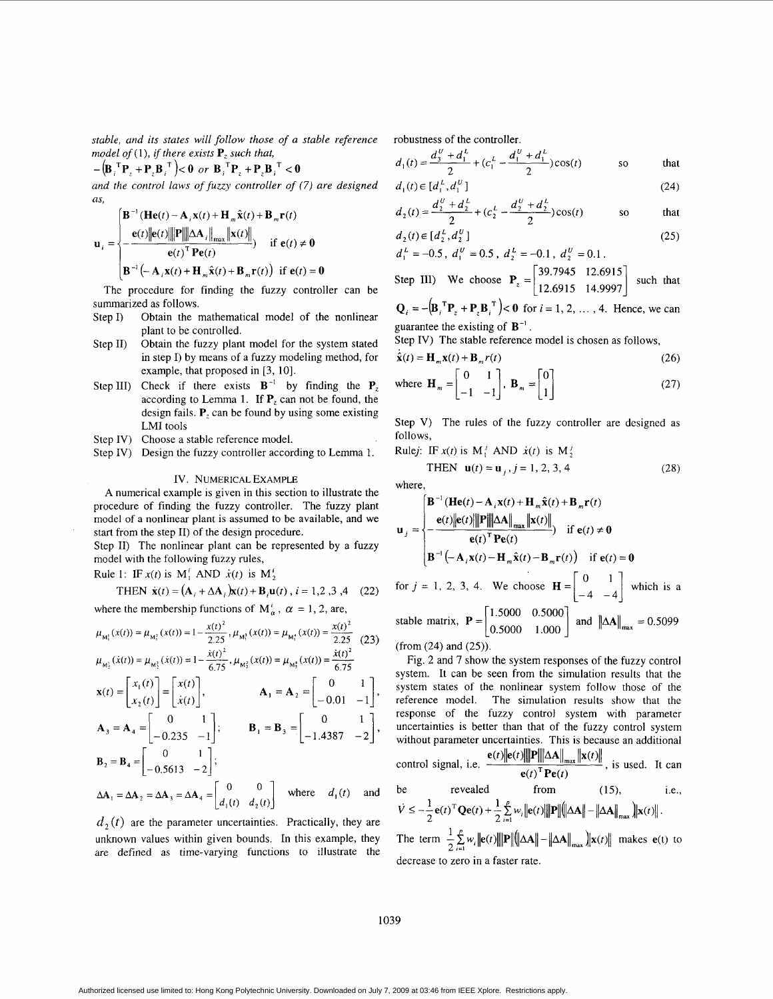**stable, and** *its states* **will follow those of a stable reference**  model of (1), if there exists  $P_z$  such that,

 $-\left(\mathbf{B}_{i}^{T}\mathbf{P}_{i}+\mathbf{P}_{i}\mathbf{B}_{i}^{T}\right)\leq 0$  or  $\mathbf{B}_{i}^{T}\mathbf{P}_{i}+\mathbf{P}_{i}\mathbf{B}_{i}^{T}\leq 0$ 

**and the control laws of fuzzy controller of (7) are designed as,**  $\left[\mathbf{B}^{-1}(\mathbf{He}(t) - \mathbf{A}_i \mathbf{x}(t) + \mathbf{H}_m \hat{\mathbf{x}}(t) + \mathbf{B}_m \mathbf{r}(t)\right]$ *as,* 

$$
\mathbf{u}_{i} = \begin{cases} \n\mathbf{B}^{-1} (\mathbf{He}(t) - \mathbf{A}_{i} \mathbf{x}(t) + \mathbf{H}_{m} \hat{\mathbf{x}}(t) + \mathbf{B}_{m} \mathbf{r}(t) \\
-\frac{\mathbf{e}(t) \|\mathbf{e}(t)\| \|\mathbf{P}\| \|\Delta \mathbf{A}_{i}\|_{\max} \|\mathbf{x}(t)\|}{\mathbf{e}(t)^{T} \mathbf{Pe}(t)} & \text{if } \mathbf{e}(t) \neq \mathbf{0} \\
\mathbf{B}^{-1} (-\mathbf{A}_{i} \mathbf{x}(t) + \mathbf{H}_{m} \hat{\mathbf{x}}(t) + \mathbf{B}_{m} \mathbf{r}(t)) & \text{if } \mathbf{e}(t) = \mathbf{0}\n\end{cases}
$$

The procedure for finding the fuzzy controller can be summarized as follows.

- Obtain the mathematical model of the nonlinear plant to be controlled. Step I)
- Obtain the fuzzy plant model for the system stated in step I) by means of a fuzzy modeling method, for example, that proposed in [3, 10]. Step II)
- Step III) Check if there exists  $B^{-1}$  by finding the  $P_z$ according to Lemma 1. If  $P_z$  can not be found, the design fails. **P,** can be found by using some existing LMI tools
- Step IV) Choose a stable reference model.
- Step IV) Design the fuzzy controller according to Lemma 1.

# IV. NUMERICAL EXAMPLE

A numerical example **IS** given in this section to illustrate the procedure of finding the fuzzy controller. The fuzzy plant model of a nonlinear plant is assumed to be available, and we start from the step 11) of the design procedure.

Step 11) The nonlinear plant can be represented by a fuzzy model with the following fuzzy rules,

Rule 1: IF  $x(t)$  is  $M_1^t$  AND  $\dot{x}(t)$  is  $M_2^t$ 

THEN 
$$
\dot{\mathbf{x}}(t) = (\mathbf{A}_i + \Delta \mathbf{A}_i) \mathbf{x}(t) + \mathbf{B}_i \mathbf{u}(t), i = 1, 2, 3, 4
$$
 (22)

where the membership functions of  $M'_\alpha$ ,  $\alpha = 1, 2$ , are,

$$
\mu_{M_1^1}(x(t)) = \mu_{M_1^2}(x(t)) = 1 - \frac{x(t)^2}{2.25}, \mu_{M_1^2}(x(t)) = \mu_{M_1^1}(x(t)) = \frac{x(t)^2}{2.25}
$$
\n
$$
\mu_{M_1^1}(x(t)) = \mu_{M_1^2}(x(t)) = 1 - \frac{x(t)^2}{2.25}, \mu_{M_1^2}(x(t)) = \mu_{M_1^1}(x(t)) = \frac{x(t)^2}{2.25}
$$

$$
\mathbf{x}(t) = \begin{bmatrix} x_1(t) \\ x_2(t) \end{bmatrix} = \begin{bmatrix} x(t) \\ \dot{x}(t) \end{bmatrix}, \qquad \mathbf{A}_1 = \mathbf{A}_2 = \begin{bmatrix} 0 & 1 \\ -0.01 & -1 \end{bmatrix},
$$
  
\n
$$
\mathbf{A}_3 = \mathbf{A}_4 = \begin{bmatrix} 0 & 1 \\ -0.235 & -1 \end{bmatrix}; \qquad \mathbf{B}_1 = \mathbf{B}_3 = \begin{bmatrix} 0 & 1 \\ -1.4387 & -2 \end{bmatrix},
$$
  
\n
$$
\mathbf{B}_2 = \mathbf{B}_4 = \begin{bmatrix} 0 & 1 \\ -0.5613 & -2 \end{bmatrix}; \qquad \mathbf{B}_1 = \mathbf{B}_3 = \begin{bmatrix} 0 & 1 \\ -1.4387 & -2 \end{bmatrix},
$$

$$
\Delta \mathbf{A}_1 = \Delta \mathbf{A}_2 = \Delta \mathbf{A}_3 = \Delta \mathbf{A}_4 = \begin{bmatrix} 0 & 0 \\ d_1(t) & d_2(t) \end{bmatrix} \text{ where } d_1(t) \text{ and}
$$

 $d<sub>2</sub>(t)$  are the parameter uncertainties. Practically, they are unknown values within given bounds. In this example, they are defined as time-varying functions to illustrate the robustness of the controller.

$$
d_1(t) = \frac{d_3^0 + d_1^1}{2} + (c_1^1 - \frac{d_1^0 + d_1^1}{2})\cos(t)
$$
 so that

$$
d_1(t) \in [d_1^{\mu}, d_1^{\nu}]
$$
\n
$$
(24)
$$

$$
d_2(t) = \frac{d_2^2 + d_2^2}{2} + (c_2^2 - \frac{d_2^2 + d_2^2}{2})\cos(t)
$$
 so that

$$
d_2(t) \in [d_2^L, d_2^U] \tag{25}
$$

$$
a_1 = -0.5
$$
,  $a_1 = 0.5$ ,  $a_2 = -0.1$ ,  $a_2 = 0.1$ .  
Since III. We choose **P** [39.7945 12.6915]

Step III) We choose 
$$
P_z = \begin{bmatrix} 39.7945 & 12.6915 \\ 12.6915 & 14.9997 \end{bmatrix}
$$
 such that

 ${\bf Q}_i = -({\bf B}_i^T{\bf P}_i + {\bf P}_i{\bf B}_i^T) < 0$  for  $i = 1, 2, ..., 4$ . Hence, we can guarantee the existing of  $B^{-1}$ .

Step *N)* The stable reference model is chosen as follows,

$$
\dot{\hat{\mathbf{x}}}(t) = \mathbf{H}_m \mathbf{x}(t) + \mathbf{B}_m r(t)
$$
\n(26)

where 
$$
\mathbf{H}_m = \begin{bmatrix} 0 & 1 \\ -1 & -1 \end{bmatrix}
$$
,  $\mathbf{B}_m = \begin{bmatrix} 0 \\ 1 \end{bmatrix}$  (27)

Step V) The rules of the fuzzy controller are designed as follows,

Rulej: IF  $x(t)$  is  $M_1^j$  AND  $\dot{x}(t)$  is  $M_2^j$ 

**THEN** 
$$
\mathbf{u}(t) = \mathbf{u}_j, j = 1, 2, 3, 4
$$
 (28)

where,

$$
\mathbf{u}_{j} = \begin{cases}\n\mathbf{B}^{-1}(\mathbf{He}(t) - \mathbf{A}_{i}\mathbf{x}(t) + \mathbf{H}_{m}\hat{\mathbf{x}}(t) + \mathbf{B}_{m}\mathbf{r}(t) \\
-\frac{\mathbf{e}(t)\|\mathbf{e}(t)\|\mathbf{P}\|\|\Delta\mathbf{A}\|_{\max} \|\mathbf{x}(t)\|}{\mathbf{e}(t)^{\mathrm{T}}\mathbf{Pe}(t)}\n\end{cases} \text{ if } \mathbf{e}(t) \neq \mathbf{0}
$$
\n
$$
\mathbf{B}^{-1}\left(-\mathbf{A}_{i}\mathbf{x}(t) - \mathbf{H}_{m}\hat{\mathbf{x}}(t) - \mathbf{B}_{m}\mathbf{r}(t)\right) \text{ if } \mathbf{e}(t) = \mathbf{0}
$$
\n
$$
\text{for } j = 1, 2, 3, 4. \text{ We choose } \mathbf{H} = \begin{bmatrix} 0 & 1 \\ -4 & -4 \end{bmatrix} \text{ which is a stable matrix, } \mathbf{P} = \begin{bmatrix} 1.5000 & 0.5000 \\ 0.5000 & 1.000 \end{bmatrix} \text{ and } \|\Delta\mathbf{A}\|_{\max} = 0.5099
$$

(from (24) and (25)).

Fig. 2 and 7 show the system responses of the fuzzy control system. It can be seen from the simulation results that the system states of the nonlinear system follow those of the reference model. The simulation results show that the response of the fuzzy control system with parameter uncertainties is better than that of the fuzzy control system without parameter uncertainties. This is because an additional<br>control signal, i.e.  $\frac{\mathbf{e}(t)\|\mathbf{e}(t)\| \|\mathbf{P}\| \|\Delta \mathbf{A}\|_{\max} \|\mathbf{x}(t)\|}{\mathbf{e}(t)^{\top} \mathbf{P}\mathbf{e}(t)}$ , is used. It can from  $(15)$ , be revealed *i.e.*,  $\dot{V} \leq -\frac{1}{2} e(t)^{\mathrm{T}} Q e(t) + \frac{1}{2} \sum_{i=1}^{p} w_i ||e(t)|| ||P|| \big( ||\Delta A|| - ||\Delta A||_{\max} \big) ||x(t)||.$ 

The term  $\frac{1}{2}\sum_{i=1}^{p}w_i ||e(t)|| ||P|| \big( ||\Delta A|| - ||\Delta A||_{max} ||x(t)||$  makes  $e(t)$  to decrease to zero in a faster rate.